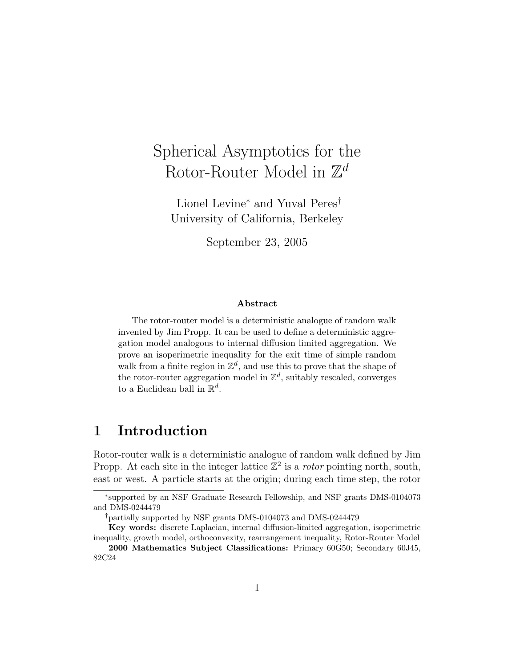# Spherical Asymptotics for the Rotor-Router Model in  $\mathbb{Z}^d$

Lionel Levine<sup>∗</sup> and Yuval Peres† University of California, Berkeley

September 23, 2005

#### Abstract

The rotor-router model is a deterministic analogue of random walk invented by Jim Propp. It can be used to define a deterministic aggregation model analogous to internal diffusion limited aggregation. We prove an isoperimetric inequality for the exit time of simple random walk from a finite region in  $\mathbb{Z}^d$ , and use this to prove that the shape of the rotor-router aggregation model in  $\mathbb{Z}^d$ , suitably rescaled, converges to a Euclidean ball in  $\mathbb{R}^d$ .

### 1 Introduction

Rotor-router walk is a deterministic analogue of random walk defined by Jim Propp. At each site in the integer lattice  $\mathbb{Z}^2$  is a *rotor* pointing north, south, east or west. A particle starts at the origin; during each time step, the rotor

<sup>∗</sup> supported by an NSF Graduate Research Fellowship, and NSF grants DMS-0104073 and DMS-0244479

<sup>†</sup>partially supported by NSF grants DMS-0104073 and DMS-0244479

Key words: discrete Laplacian, internal diffusion-limited aggregation, isoperimetric inequality, growth model, orthoconvexity, rearrangement inequality, Rotor-Router Model

<sup>2000</sup> Mathematics Subject Classifications: Primary 60G50; Secondary 60J45, 82C24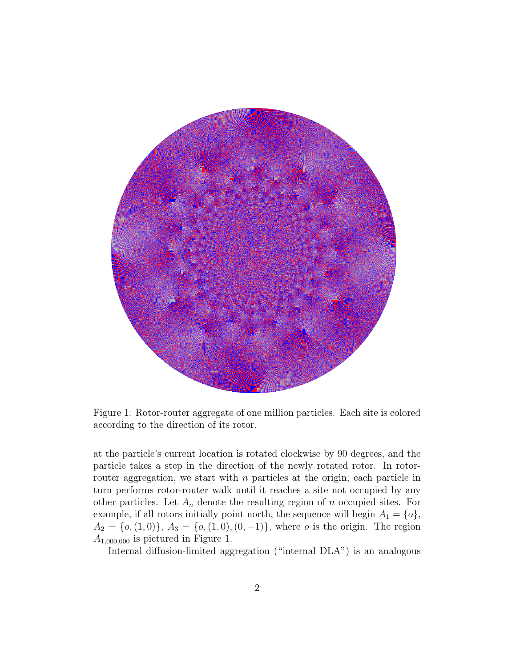

Figure 1: Rotor-router aggregate of one million particles. Each site is colored according to the direction of its rotor.

at the particle's current location is rotated clockwise by 90 degrees, and the particle takes a step in the direction of the newly rotated rotor. In rotorrouter aggregation, we start with  $n$  particles at the origin; each particle in turn performs rotor-router walk until it reaches a site not occupied by any other particles. Let  $A_n$  denote the resulting region of n occupied sites. For example, if all rotors initially point north, the sequence will begin  $A_1 = \{o\},\$  $A_2 = \{o, (1, 0)\}, A_3 = \{o, (1, 0), (0, -1)\},$  where *o* is the origin. The region  $A_{1,000,000}$  is pictured in Figure 1.

Internal diffusion-limited aggregation ("internal DLA") is an analogous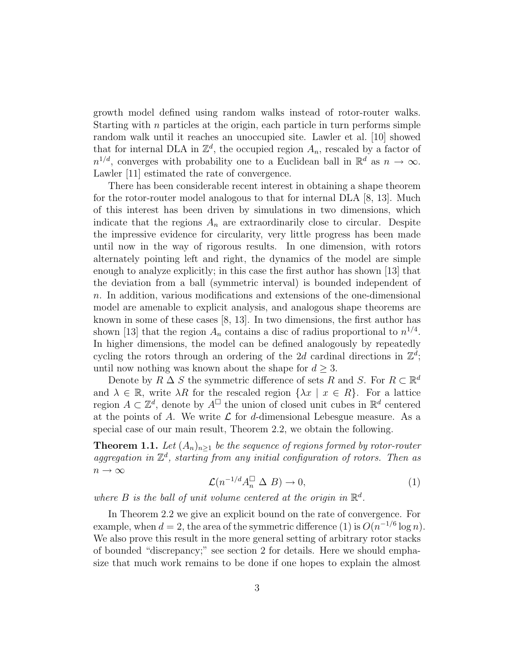growth model defined using random walks instead of rotor-router walks. Starting with  $n$  particles at the origin, each particle in turn performs simple random walk until it reaches an unoccupied site. Lawler et al. [10] showed that for internal DLA in  $\mathbb{Z}^d$ , the occupied region  $A_n$ , rescaled by a factor of  $n^{1/d}$ , converges with probability one to a Euclidean ball in  $\mathbb{R}^d$  as  $n \to \infty$ . Lawler [11] estimated the rate of convergence.

There has been considerable recent interest in obtaining a shape theorem for the rotor-router model analogous to that for internal DLA [8, 13]. Much of this interest has been driven by simulations in two dimensions, which indicate that the regions  $A_n$  are extraordinarily close to circular. Despite the impressive evidence for circularity, very little progress has been made until now in the way of rigorous results. In one dimension, with rotors alternately pointing left and right, the dynamics of the model are simple enough to analyze explicitly; in this case the first author has shown [13] that the deviation from a ball (symmetric interval) is bounded independent of n. In addition, various modifications and extensions of the one-dimensional model are amenable to explicit analysis, and analogous shape theorems are known in some of these cases [8, 13]. In two dimensions, the first author has shown [13] that the region  $A_n$  contains a disc of radius proportional to  $n^{1/4}$ . In higher dimensions, the model can be defined analogously by repeatedly cycling the rotors through an ordering of the 2d cardinal directions in  $\mathbb{Z}^d$ ; until now nothing was known about the shape for  $d \geq 3$ .

Denote by  $R \triangle S$  the symmetric difference of sets R and S. For  $R \subset \mathbb{R}^d$ and  $\lambda \in \mathbb{R}$ , write  $\lambda R$  for the rescaled region  $\{\lambda x \mid x \in R\}$ . For a lattice region  $A \subset \mathbb{Z}^d$ , denote by  $A^{\square}$  the union of closed unit cubes in  $\mathbb{R}^d$  centered at the points of A. We write  $\mathcal L$  for d-dimensional Lebesgue measure. As a special case of our main result, Theorem 2.2, we obtain the following.

**Theorem 1.1.** Let  $(A_n)_{n\geq 1}$  be the sequence of regions formed by rotor-router aggregation in  $\mathbb{Z}^d$ , starting from any initial configuration of rotors. Then as  $n \to \infty$ 

$$
\mathcal{L}(n^{-1/d}A_n^{\square} \Delta B) \to 0,\tag{1}
$$

where  $B$  is the ball of unit volume centered at the origin in  $\mathbb{R}^d$ .

In Theorem 2.2 we give an explicit bound on the rate of convergence. For example, when  $d = 2$ , the area of the symmetric difference (1) is  $O(n^{-1/6} \log n)$ . We also prove this result in the more general setting of arbitrary rotor stacks of bounded "discrepancy;" see section 2 for details. Here we should emphasize that much work remains to be done if one hopes to explain the almost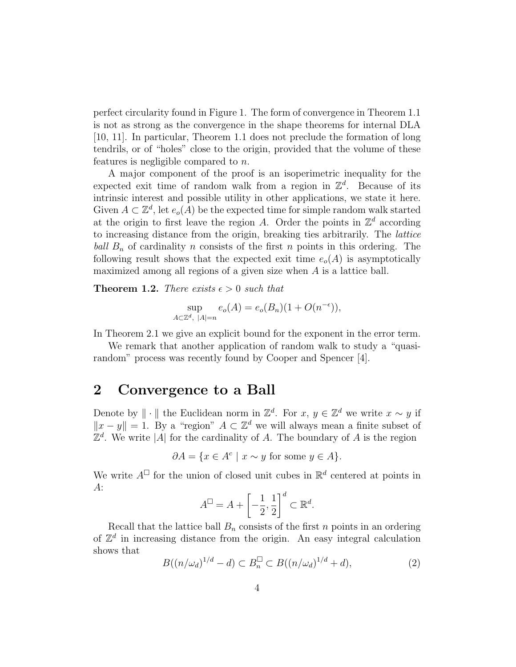perfect circularity found in Figure 1. The form of convergence in Theorem 1.1 is not as strong as the convergence in the shape theorems for internal DLA [10, 11]. In particular, Theorem 1.1 does not preclude the formation of long tendrils, or of "holes" close to the origin, provided that the volume of these features is negligible compared to n.

A major component of the proof is an isoperimetric inequality for the expected exit time of random walk from a region in  $\mathbb{Z}^d$ . Because of its intrinsic interest and possible utility in other applications, we state it here. Given  $A \subset \mathbb{Z}^d$ , let  $e_o(A)$  be the expected time for simple random walk started at the origin to first leave the region A. Order the points in  $\mathbb{Z}^d$  according to increasing distance from the origin, breaking ties arbitrarily. The lattice ball  $B_n$  of cardinality n consists of the first n points in this ordering. The following result shows that the expected exit time  $e_o(A)$  is asymptotically maximized among all regions of a given size when A is a lattice ball.

**Theorem 1.2.** There exists  $\epsilon > 0$  such that

$$
\sup_{A \subset \mathbb{Z}^d, |A|=n} e_o(A) = e_o(B_n)(1 + O(n^{-\epsilon})),
$$

In Theorem 2.1 we give an explicit bound for the exponent in the error term.

We remark that another application of random walk to study a "quasirandom" process was recently found by Cooper and Spencer [4].

#### 2 Convergence to a Ball

Denote by  $\|\cdot\|$  the Euclidean norm in  $\mathbb{Z}^d$ . For  $x, y \in \mathbb{Z}^d$  we write  $x \sim y$  if  $||x - y|| = 1$ . By a "region"  $A ⊂ \mathbb{Z}^d$  we will always mean a finite subset of  $\mathbb{Z}^d$ . We write |A| for the cardinality of A. The boundary of A is the region

$$
\partial A = \{ x \in A^c \mid x \sim y \text{ for some } y \in A \}.
$$

We write  $A^{\Box}$  for the union of closed unit cubes in  $\mathbb{R}^d$  centered at points in A:

$$
A^{\square} = A + \left[ -\frac{1}{2}, \frac{1}{2} \right]^d \subset \mathbb{R}^d.
$$

Recall that the lattice ball  $B_n$  consists of the first n points in an ordering of  $\mathbb{Z}^d$  in increasing distance from the origin. An easy integral calculation shows that

$$
B((n/\omega_d)^{1/d} - d) \subset B_n^{\square} \subset B((n/\omega_d)^{1/d} + d), \tag{2}
$$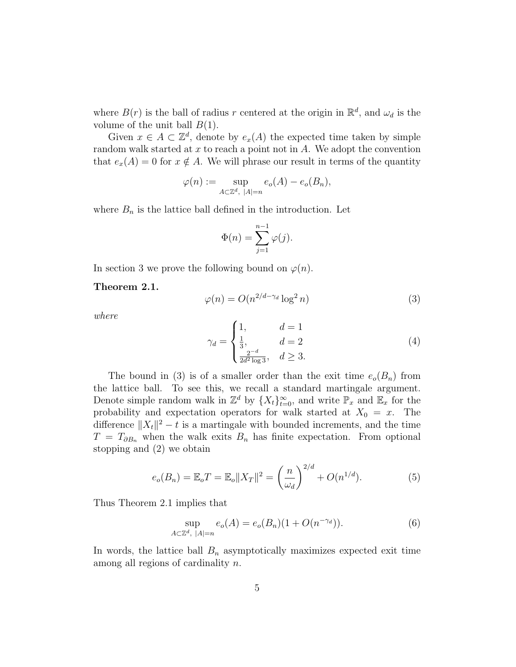where  $B(r)$  is the ball of radius r centered at the origin in  $\mathbb{R}^d$ , and  $\omega_d$  is the volume of the unit ball  $B(1)$ .

Given  $x \in A \subset \mathbb{Z}^d$ , denote by  $e_x(A)$  the expected time taken by simple random walk started at  $x$  to reach a point not in  $A$ . We adopt the convention that  $e_x(A) = 0$  for  $x \notin A$ . We will phrase our result in terms of the quantity

$$
\varphi(n) := \sup_{A \subset \mathbb{Z}^d, |A| = n} e_o(A) - e_o(B_n),
$$

where  $B_n$  is the lattice ball defined in the introduction. Let

$$
\Phi(n) = \sum_{j=1}^{n-1} \varphi(j).
$$

In section 3 we prove the following bound on  $\varphi(n)$ .

Theorem 2.1.

$$
\varphi(n) = O(n^{2/d - \gamma_d} \log^2 n) \tag{3}
$$

where

$$
\gamma_d = \begin{cases} 1, & d = 1 \\ \frac{1}{3}, & d = 2 \\ \frac{2^{-d}}{2d^2 \log 3}, & d \ge 3. \end{cases}
$$
 (4)

The bound in (3) is of a smaller order than the exit time  $e_o(B_n)$  from the lattice ball. To see this, we recall a standard martingale argument. Denote simple random walk in  $\mathbb{Z}^d$  by  $\{X_t\}_{t=0}^{\infty}$ , and write  $\mathbb{P}_x$  and  $\mathbb{E}_x$  for the probability and expectation operators for walk started at  $X_0 = x$ . The difference  $||X_t||^2 - t$  is a martingale with bounded increments, and the time  $T = T_{\partial B_n}$  when the walk exits  $B_n$  has finite expectation. From optional stopping and (2) we obtain

$$
e_o(B_n) = \mathbb{E}_o T = \mathbb{E}_o ||X_T||^2 = \left(\frac{n}{\omega_d}\right)^{2/d} + O(n^{1/d}).\tag{5}
$$

Thus Theorem 2.1 implies that

$$
\sup_{A \subset \mathbb{Z}^d, |A| = n} e_o(A) = e_o(B_n)(1 + O(n^{-\gamma_d})).
$$
\n(6)

In words, the lattice ball  $B_n$  asymptotically maximizes expected exit time among all regions of cardinality n.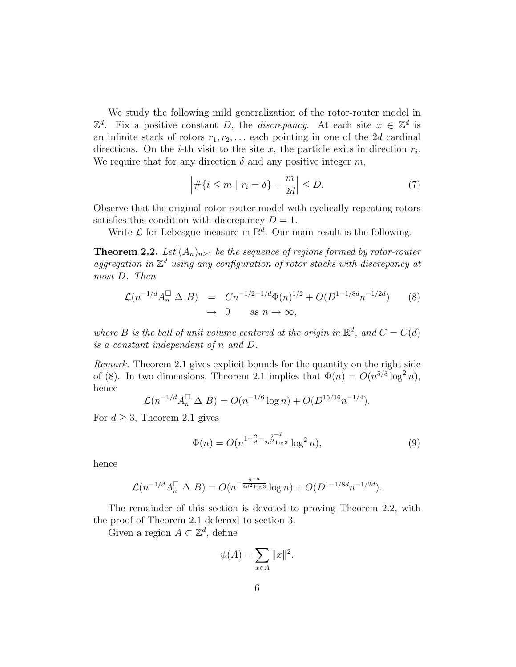We study the following mild generalization of the rotor-router model in  $\mathbb{Z}^d$ . Fix a positive constant D, the *discrepancy*. At each site  $x \in \mathbb{Z}^d$  is an infinite stack of rotors  $r_1, r_2, \ldots$  each pointing in one of the 2d cardinal directions. On the *i*-th visit to the site x, the particle exits in direction  $r_i$ . We require that for any direction  $\delta$  and any positive integer m,

$$
\left| \# \{ i \le m \mid r_i = \delta \} - \frac{m}{2d} \right| \le D. \tag{7}
$$

Observe that the original rotor-router model with cyclically repeating rotors satisfies this condition with discrepancy  $D = 1$ .

Write  $\mathcal L$  for Lebesgue measure in  $\mathbb R^d$ . Our main result is the following.

**Theorem 2.2.** Let  $(A_n)_{n\geq 1}$  be the sequence of regions formed by rotor-router aggregation in  $\mathbb{Z}^d$  using any configuration of rotor stacks with discrepancy at most D. Then

$$
\mathcal{L}(n^{-1/d}A_n^{\square} \Delta B) = Cn^{-1/2 - 1/d} \Phi(n)^{1/2} + O(D^{1-1/8d}n^{-1/2d}) \qquad (8)
$$
  

$$
\to 0 \qquad \text{as } n \to \infty,
$$

where B is the ball of unit volume centered at the origin in  $\mathbb{R}^d$ , and  $C = C(d)$ is a constant independent of n and D.

Remark. Theorem 2.1 gives explicit bounds for the quantity on the right side of (8). In two dimensions, Theorem 2.1 implies that  $\Phi(n) = O(n^{5/3} \log^2 n)$ , hence

$$
\mathcal{L}(n^{-1/d}A_n^{\square} \Delta B) = O(n^{-1/6}\log n) + O(D^{15/16}n^{-1/4}).
$$

For  $d \geq 3$ , Theorem 2.1 gives

$$
\Phi(n) = O(n^{1 + \frac{2}{d} - \frac{2^{-d}}{2d^2 \log 3}} \log^2 n),\tag{9}
$$

hence

$$
\mathcal{L}(n^{-1/d}A_n^{\square} \Delta B) = O(n^{-\frac{2^{-d}}{4d^2 \log 3}} \log n) + O(D^{1-1/8d}n^{-1/2d}).
$$

The remainder of this section is devoted to proving Theorem 2.2, with the proof of Theorem 2.1 deferred to section 3.

Given a region  $A \subset \mathbb{Z}^d$ , define

$$
\psi(A) = \sum_{x \in A} ||x||^2.
$$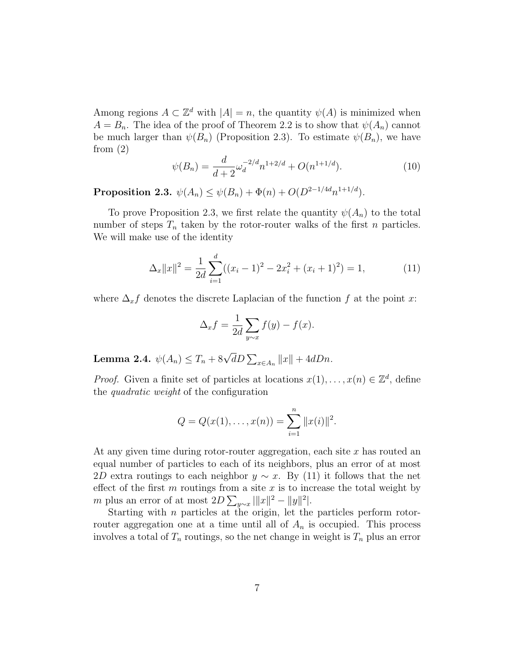Among regions  $A \subset \mathbb{Z}^d$  with  $|A| = n$ , the quantity  $\psi(A)$  is minimized when  $A = B_n$ . The idea of the proof of Theorem 2.2 is to show that  $\psi(A_n)$  cannot be much larger than  $\psi(B_n)$  (Proposition 2.3). To estimate  $\psi(B_n)$ , we have from  $(2)$ 

$$
\psi(B_n) = \frac{d}{d+2} \omega_d^{-2/d} n^{1+2/d} + O(n^{1+1/d}).\tag{10}
$$

Proposition 2.3.  $\psi(A_n) \leq \psi(B_n) + \Phi(n) + O(D^{2-1/4d}n^{1+1/d}).$ 

To prove Proposition 2.3, we first relate the quantity  $\psi(A_n)$  to the total number of steps  $T_n$  taken by the rotor-router walks of the first n particles. We will make use of the identity

$$
\Delta_x ||x||^2 = \frac{1}{2d} \sum_{i=1}^d ((x_i - 1)^2 - 2x_i^2 + (x_i + 1)^2) = 1,
$$
\n(11)

where  $\Delta_x f$  denotes the discrete Laplacian of the function f at the point x:

$$
\Delta_x f = \frac{1}{2d} \sum_{y \sim x} f(y) - f(x).
$$

Lemma 2.4.  $\psi(A_n) \leq T_n + 8\sqrt{d}D \sum_{x \in A_n} ||x|| + 4dDn$ .

*Proof.* Given a finite set of particles at locations  $x(1), \ldots, x(n) \in \mathbb{Z}^d$ , define the quadratic weight of the configuration

$$
Q = Q(x(1), \ldots, x(n)) = \sum_{i=1}^{n} ||x(i)||^{2}.
$$

At any given time during rotor-router aggregation, each site  $x$  has routed an equal number of particles to each of its neighbors, plus an error of at most 2D extra routings to each neighbor  $y \sim x$ . By (11) it follows that the net effect of the first  $m$  routings from a site  $x$  is to increase the total weight by m plus an error of at most  $2D \sum_{y \sim x} |||x\|^2 - ||y||^2$ .

Starting with *n* particles at the origin, let the particles perform rotorrouter aggregation one at a time until all of  $A_n$  is occupied. This process involves a total of  $T_n$  routings, so the net change in weight is  $T_n$  plus an error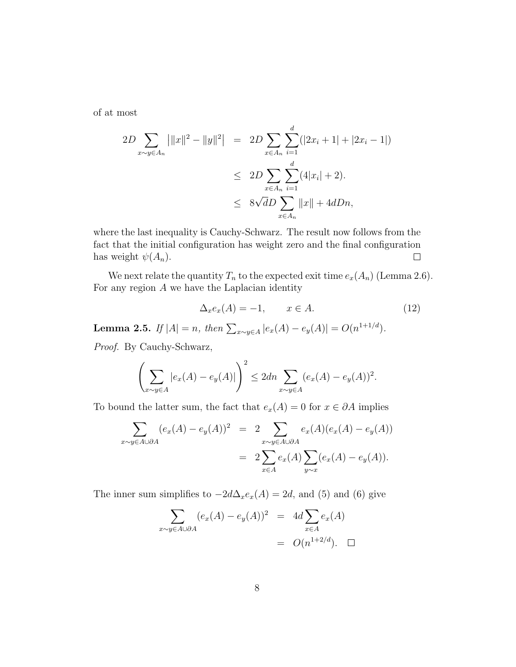of at most

$$
2D \sum_{x \sim y \in A_n} |||x||^2 - ||y||^2| = 2D \sum_{x \in A_n} \sum_{i=1}^d (|2x_i + 1| + |2x_i - 1|)
$$
  
\n
$$
\leq 2D \sum_{x \in A_n} \sum_{i=1}^d (4|x_i| + 2).
$$
  
\n
$$
\leq 8\sqrt{d}D \sum_{x \in A_n} ||x|| + 4dDn,
$$

where the last inequality is Cauchy-Schwarz. The result now follows from the fact that the initial configuration has weight zero and the final configuration has weight  $\psi(A_n)$ .  $\Box$ 

We next relate the quantity  $T_n$  to the expected exit time  $e_x(A_n)$  (Lemma 2.6). For any region  $A$  we have the Laplacian identity

$$
\Delta_x e_x(A) = -1, \qquad x \in A. \tag{12}
$$

**Lemma 2.5.** If  $|A| = n$ , then  $\sum_{x \sim y \in A} |e_x(A) - e_y(A)| = O(n^{1+1/d})$ .

Proof. By Cauchy-Schwarz,

$$
\left(\sum_{x\sim y\in A} |e_x(A) - e_y(A)|\right)^2 \le 2dn \sum_{x\sim y\in A} (e_x(A) - e_y(A))^2.
$$

To bound the latter sum, the fact that  $e_x(A) = 0$  for  $x \in \partial A$  implies

$$
\sum_{x \sim y \in A \cup \partial A} (e_x(A) - e_y(A))^2 = 2 \sum_{x \sim y \in A \cup \partial A} e_x(A)(e_x(A) - e_y(A))
$$
  
= 
$$
2 \sum_{x \in A} e_x(A) \sum_{y \sim x} (e_x(A) - e_y(A)).
$$

The inner sum simplifies to  $-2d\Delta_x e_x(A) = 2d$ , and (5) and (6) give

$$
\sum_{x \sim y \in A \cup \partial A} (e_x(A) - e_y(A))^2 = 4d \sum_{x \in A} e_x(A)
$$

$$
= O(n^{1+2/d}). \quad \Box
$$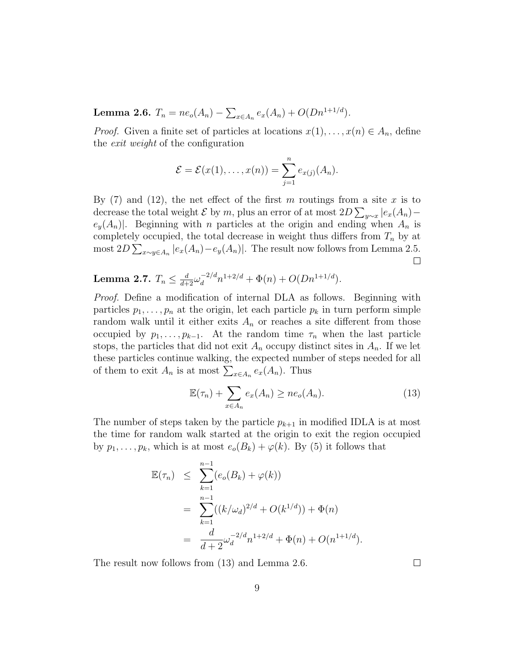Lemma 2.6.  $T_n = ne_o(A_n) - \sum_{x \in A_n} e_x(A_n) + O(Dn^{1+1/d}).$ 

*Proof.* Given a finite set of particles at locations  $x(1), \ldots, x(n) \in A_n$ , define the exit weight of the configuration

$$
\mathcal{E} = \mathcal{E}(x(1),\ldots,x(n)) = \sum_{j=1}^n e_{x(j)}(A_n).
$$

By  $(7)$  and  $(12)$ , the net effect of the first m routings from a site x is to decrease the total weight  $\mathcal E$  by m, plus an error of at most  $2D \sum_{y \sim x} |e_x(A_n)$  $e_y(A_n)$ . Beginning with *n* particles at the origin and ending when  $A_n$  is completely occupied, the total decrease in weight thus differs from  $T_n$  by at most  $2D \sum_{x \sim y \in A_n} |e_x(A_n) - e_y(A_n)|$ . The result now follows from Lemma 2.5.  $\Box$ 

Lemma 2.7.  $T_n \leq \frac{d}{d+2} \omega_d^{-2/d} n^{1+2/d} + \Phi(n) + O(Dn^{1+1/d}).$ 

Proof. Define a modification of internal DLA as follows. Beginning with particles  $p_1, \ldots, p_n$  at the origin, let each particle  $p_k$  in turn perform simple random walk until it either exits  $A_n$  or reaches a site different from those occupied by  $p_1, \ldots, p_{k-1}$ . At the random time  $\tau_n$  when the last particle stops, the particles that did not exit  $A_n$  occupy distinct sites in  $A_n$ . If we let these particles continue walking, the expected number of steps needed for all of them to exit  $A_n$  is at most  $\sum_{x \in A_n} e_x(A_n)$ . Thus

$$
\mathbb{E}(\tau_n) + \sum_{x \in A_n} e_x(A_n) \ge n e_o(A_n). \tag{13}
$$

The number of steps taken by the particle  $p_{k+1}$  in modified IDLA is at most the time for random walk started at the origin to exit the region occupied by  $p_1, \ldots, p_k$ , which is at most  $e_o(B_k) + \varphi(k)$ . By (5) it follows that

$$
\mathbb{E}(\tau_n) \leq \sum_{k=1}^{n-1} (e_o(B_k) + \varphi(k))
$$
  
= 
$$
\sum_{k=1}^{n-1} ((k/\omega_d)^{2/d} + O(k^{1/d})) + \Phi(n)
$$
  
= 
$$
\frac{d}{d+2} \omega_d^{-2/d} n^{1+2/d} + \Phi(n) + O(n^{1+1/d}).
$$

The result now follows from (13) and Lemma 2.6.

 $\Box$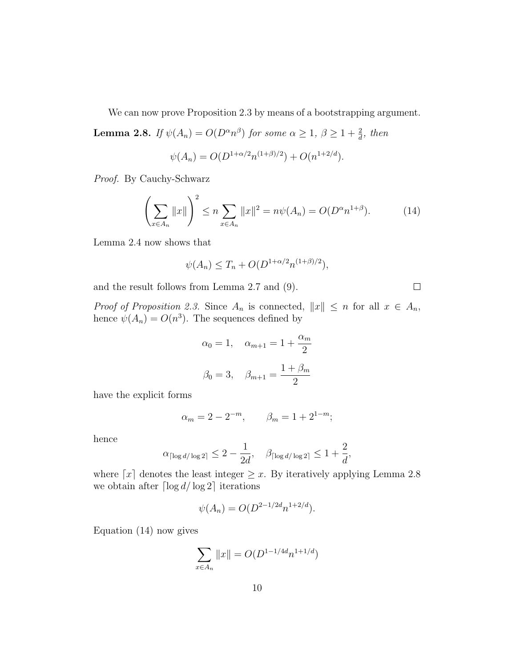We can now prove Proposition 2.3 by means of a bootstrapping argument.

**Lemma 2.8.** If  $\psi(A_n) = O(D^{\alpha}n^{\beta})$  for some  $\alpha \geq 1$ ,  $\beta \geq 1 + \frac{2}{d}$ , then

$$
\psi(A_n) = O(D^{1+\alpha/2}n^{(1+\beta)/2}) + O(n^{1+2/d}).
$$

Proof. By Cauchy-Schwarz

$$
\left(\sum_{x \in A_n} ||x||\right)^2 \le n \sum_{x \in A_n} ||x||^2 = n\psi(A_n) = O(D^{\alpha}n^{1+\beta}).\tag{14}
$$

Lemma 2.4 now shows that

$$
\psi(A_n) \le T_n + O(D^{1+\alpha/2}n^{(1+\beta)/2}),
$$

and the result follows from Lemma 2.7 and (9).

 $\Box$ 

*Proof of Proposition 2.3.* Since  $A_n$  is connected,  $||x|| \leq n$  for all  $x \in A_n$ , hence  $\psi(A_n) = O(n^3)$ . The sequences defined by

$$
\alpha_0 = 1, \quad \alpha_{m+1} = 1 + \frac{\alpha_m}{2}
$$
  
 $\beta_0 = 3, \quad \beta_{m+1} = \frac{1 + \beta_m}{2}$ 

have the explicit forms

$$
\alpha_m = 2 - 2^{-m}, \qquad \beta_m = 1 + 2^{1-m};
$$

hence

$$
\alpha_{\lceil \log d/\log 2 \rceil} \le 2 - \frac{1}{2d}, \quad \beta_{\lceil \log d/\log 2 \rceil} \le 1 + \frac{2}{d},
$$

where  $[x]$  denotes the least integer  $\geq x$ . By iteratively applying Lemma 2.8 we obtain after  $\lceil \log d / \log 2 \rceil$  iterations

$$
\psi(A_n) = O(D^{2-1/2d}n^{1+2/d}).
$$

Equation (14) now gives

$$
\sum_{x \in A_n} ||x|| = O(D^{1-1/4d} n^{1+1/d})
$$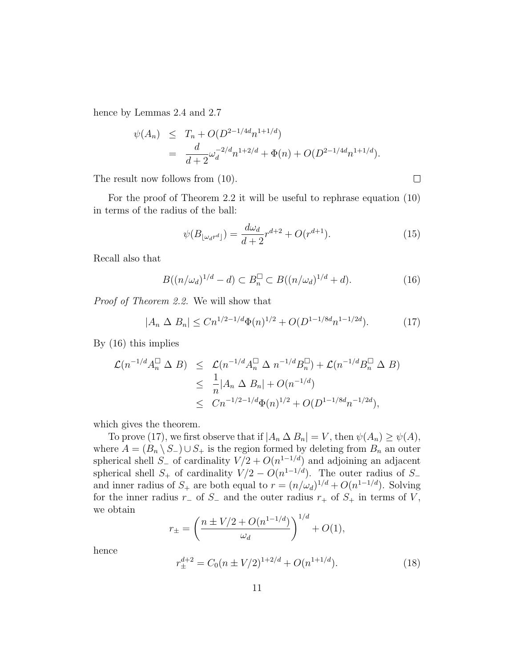hence by Lemmas 2.4 and 2.7

$$
\psi(A_n) \leq T_n + O(D^{2-1/4d}n^{1+1/d})
$$
  
= 
$$
\frac{d}{d+2}\omega_d^{-2/d}n^{1+2/d} + \Phi(n) + O(D^{2-1/4d}n^{1+1/d}).
$$

The result now follows from (10).

 $\Box$ 

For the proof of Theorem 2.2 it will be useful to rephrase equation (10) in terms of the radius of the ball:

$$
\psi(B_{\lfloor \omega_d r^d \rfloor}) = \frac{d\omega_d}{d+2} r^{d+2} + O(r^{d+1}).\tag{15}
$$

Recall also that

$$
B((n/\omega_d)^{1/d} - d) \subset B_n^{\square} \subset B((n/\omega_d)^{1/d} + d). \tag{16}
$$

Proof of Theorem 2.2. We will show that

$$
|A_n \Delta B_n| \leq C n^{1/2 - 1/d} \Phi(n)^{1/2} + O(D^{1-1/8d} n^{1-1/2d}). \tag{17}
$$

By (16) this implies

$$
\mathcal{L}(n^{-1/d}A_n^{\Box} \Delta B) \leq \mathcal{L}(n^{-1/d}A_n^{\Box} \Delta n^{-1/d}B_n^{\Box}) + \mathcal{L}(n^{-1/d}B_n^{\Box} \Delta B)
$$
  

$$
\leq \frac{1}{n}|A_n \Delta B_n| + O(n^{-1/d})
$$
  

$$
\leq Cn^{-1/2 - 1/d} \Phi(n)^{1/2} + O(D^{1-1/8d}n^{-1/2d}),
$$

which gives the theorem.

To prove (17), we first observe that if  $|A_n \Delta B_n| = V$ , then  $\psi(A_n) \geq \psi(A)$ , where  $A = (B_n \setminus S_-) \cup S_+$  is the region formed by deleting from  $B_n$  an outer spherical shell  $S_$  of cardinality  $V/2 + O(n^{1-1/d})$  and adjoining an adjacent spherical shell  $S_+$  of cardinality  $V/2 - O(n^{1-1/d})$ . The outer radius of  $S_$ and inner radius of  $S_+$  are both equal to  $r = (n/\omega_d)^{1/d} + O(n^{1-1/d})$ . Solving for the inner radius  $r_-$  of  $S_-\$  and the outer radius  $r_+$  of  $S_+$  in terms of V, we obtain

$$
r_{\pm} = \left(\frac{n \pm V/2 + O(n^{1-1/d})}{\omega_d}\right)^{1/d} + O(1),
$$

hence

$$
r_{\pm}^{d+2} = C_0(n \pm V/2)^{1+2/d} + O(n^{1+1/d}).
$$
\n(18)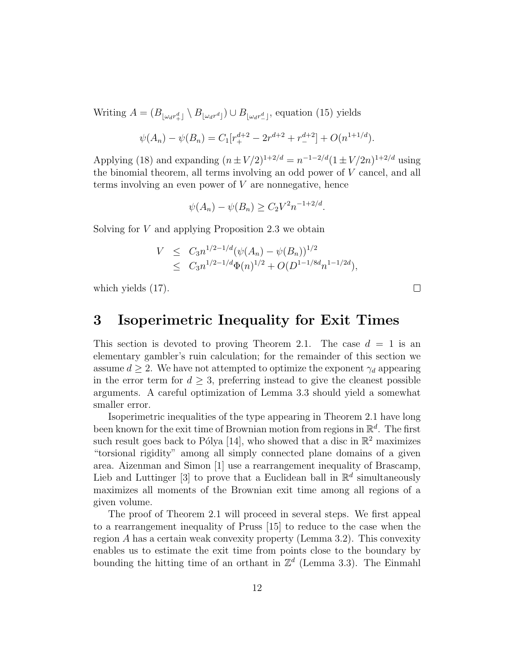Writing  $A = (B_{\lfloor \omega_d r^d \rfloor} \setminus B_{\lfloor \omega_d r^d \rfloor}) \cup B_{\lfloor \omega_d r^d \rfloor}$ , equation (15) yields

$$
\psi(A_n) - \psi(B_n) = C_1[r_+^{d+2} - 2r^{d+2} + r_-^{d+2}] + O(n^{1+1/d}).
$$

Applying (18) and expanding  $(n \pm V/2)^{1+2/d} = n^{-1-2/d} (1 \pm V/2n)^{1+2/d}$  using the binomial theorem, all terms involving an odd power of  $V$  cancel, and all terms involving an even power of  $V$  are nonnegative, hence

$$
\psi(A_n) - \psi(B_n) \ge C_2 V^2 n^{-1+2/d}.
$$

Solving for V and applying Proposition 2.3 we obtain

$$
V \leq C_3 n^{1/2 - 1/d} (\psi(A_n) - \psi(B_n))^{1/2}
$$
  
 
$$
\leq C_3 n^{1/2 - 1/d} \Phi(n)^{1/2} + O(D^{1-1/8d} n^{1-1/2d}),
$$

which yields (17).

### 3 Isoperimetric Inequality for Exit Times

This section is devoted to proving Theorem 2.1. The case  $d = 1$  is an elementary gambler's ruin calculation; for the remainder of this section we assume  $d \geq 2$ . We have not attempted to optimize the exponent  $\gamma_d$  appearing in the error term for  $d > 3$ , preferring instead to give the cleanest possible arguments. A careful optimization of Lemma 3.3 should yield a somewhat smaller error.

Isoperimetric inequalities of the type appearing in Theorem 2.1 have long been known for the exit time of Brownian motion from regions in  $\mathbb{R}^d$ . The first such result goes back to Pólya [14], who showed that a disc in  $\mathbb{R}^2$  maximizes "torsional rigidity" among all simply connected plane domains of a given area. Aizenman and Simon [1] use a rearrangement inequality of Brascamp, Lieb and Luttinger [3] to prove that a Euclidean ball in  $\mathbb{R}^d$  simultaneously maximizes all moments of the Brownian exit time among all regions of a given volume.

The proof of Theorem 2.1 will proceed in several steps. We first appeal to a rearrangement inequality of Pruss [15] to reduce to the case when the region A has a certain weak convexity property (Lemma 3.2). This convexity enables us to estimate the exit time from points close to the boundary by bounding the hitting time of an orthant in  $\mathbb{Z}^d$  (Lemma 3.3). The Einmahl

 $\Box$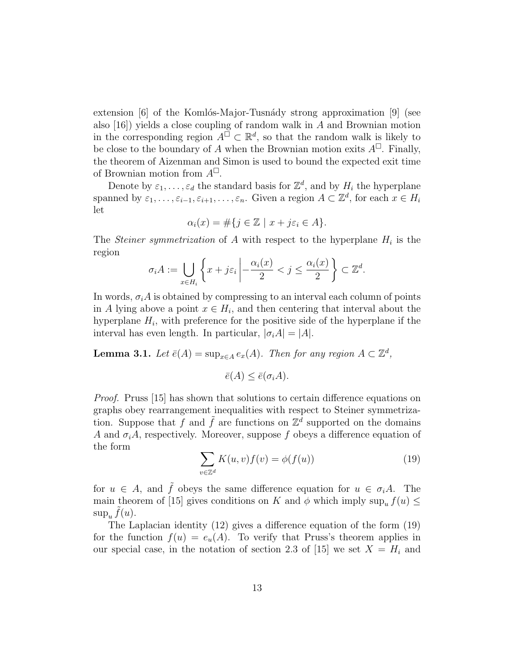extension  $[6]$  of the Komlós-Major-Tusnády strong approximation  $[9]$  (see also [16]) yields a close coupling of random walk in A and Brownian motion in the corresponding region  $A^{\square} \subset \mathbb{R}^d$ , so that the random walk is likely to be close to the boundary of A when the Brownian motion exits  $A^{\Box}$ . Finally, the theorem of Aizenman and Simon is used to bound the expected exit time of Brownian motion from  $A^{\square}$ .

Denote by  $\varepsilon_1, \ldots, \varepsilon_d$  the standard basis for  $\mathbb{Z}^d$ , and by  $H_i$  the hyperplane spanned by  $\varepsilon_1,\ldots,\varepsilon_{i-1},\varepsilon_{i+1},\ldots,\varepsilon_n$ . Given a region  $A\subset\mathbb{Z}^d$ , for each  $x\in H_i$ let

$$
\alpha_i(x) = \#\{j \in \mathbb{Z} \mid x + j\varepsilon_i \in A\}.
$$

The *Steiner symmetrization* of A with respect to the hyperplane  $H_i$  is the region

$$
\sigma_i A := \bigcup_{x \in H_i} \left\{ x + j\varepsilon_i \left| -\frac{\alpha_i(x)}{2} < j \le \frac{\alpha_i(x)}{2} \right. \right\} \subset \mathbb{Z}^d.
$$

In words,  $\sigma_i A$  is obtained by compressing to an interval each column of points in A lying above a point  $x \in H_i$ , and then centering that interval about the hyperplane  $H_i$ , with preference for the positive side of the hyperplane if the interval has even length. In particular,  $|\sigma_i A| = |A|$ .

**Lemma 3.1.** Let  $\bar{e}(A) = \sup_{x \in A} e_x(A)$ . Then for any region  $A \subset \mathbb{Z}^d$ ,

$$
\bar{e}(A) \le \bar{e}(\sigma_i A).
$$

Proof. Pruss [15] has shown that solutions to certain difference equations on graphs obey rearrangement inequalities with respect to Steiner symmetrization. Suppose that f and  $\tilde{f}$  are functions on  $\mathbb{Z}^{\tilde{d}}$  supported on the domains A and  $\sigma_i$ A, respectively. Moreover, suppose f obeys a difference equation of the form

$$
\sum_{v \in \mathbb{Z}^d} K(u, v) f(v) = \phi(f(u)) \tag{19}
$$

for  $u \in A$ , and  $\tilde{f}$  obeys the same difference equation for  $u \in \sigma_i A$ . The main theorem of [15] gives conditions on K and  $\phi$  which imply sup<sub>u</sub>  $f(u) \leq$  $\sup_u \tilde{f}(u)$ .

The Laplacian identity (12) gives a difference equation of the form (19) for the function  $f(u) = e_u(A)$ . To verify that Pruss's theorem applies in our special case, in the notation of section 2.3 of [15] we set  $X = H_i$  and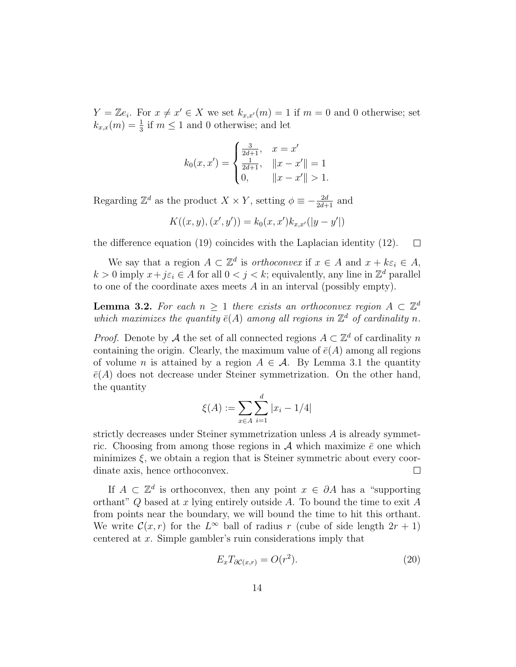$Y = \mathbb{Z}e_i$ . For  $x \neq x' \in X$  we set  $k_{x,x'}(m) = 1$  if  $m = 0$  and 0 otherwise; set  $k_{x,x}(m) = \frac{1}{3}$  if  $m \leq 1$  and 0 otherwise; and let

$$
k_0(x, x') = \begin{cases} \frac{3}{2d+1}, & x = x'\\ \frac{1}{2d+1}, & ||x - x'|| = 1\\ 0, & ||x - x'|| > 1. \end{cases}
$$

Regarding  $\mathbb{Z}^d$  as the product  $X \times Y$ , setting  $\phi \equiv -\frac{2d}{2d+1}$  and

$$
K((x, y), (x', y')) = k_0(x, x')k_{x, x'}(|y - y'|)
$$

the difference equation (19) coincides with the Laplacian identity (12).  $\Box$ 

We say that a region  $A \subset \mathbb{Z}^d$  is *orthoconvex* if  $x \in A$  and  $x + k\varepsilon_i \in A$ ,  $k > 0$  imply  $x + j\epsilon_i \in A$  for all  $0 < j < k$ ; equivalently, any line in  $\mathbb{Z}^d$  parallel to one of the coordinate axes meets A in an interval (possibly empty).

**Lemma 3.2.** For each  $n \geq 1$  there exists an orthoconvex region  $A \subset \mathbb{Z}^d$ which maximizes the quantity  $\bar{e}(A)$  among all regions in  $\mathbb{Z}^d$  of cardinality n.

*Proof.* Denote by A the set of all connected regions  $A \subset \mathbb{Z}^d$  of cardinality n containing the origin. Clearly, the maximum value of  $\bar{e}(A)$  among all regions of volume n is attained by a region  $A \in \mathcal{A}$ . By Lemma 3.1 the quantity  $\bar{e}(A)$  does not decrease under Steiner symmetrization. On the other hand, the quantity

$$
\xi(A) := \sum_{x \in A} \sum_{i=1}^{d} |x_i - 1/4|
$$

strictly decreases under Steiner symmetrization unless A is already symmetric. Choosing from among those regions in A which maximize  $\bar{e}$  one which minimizes  $\xi$ , we obtain a region that is Steiner symmetric about every coordinate axis, hence orthoconvex.  $\Box$ 

If  $A \subset \mathbb{Z}^d$  is orthoconvex, then any point  $x \in \partial A$  has a "supporting" orthant"  $Q$  based at x lying entirely outside A. To bound the time to exit A from points near the boundary, we will bound the time to hit this orthant. We write  $\mathcal{C}(x,r)$  for the  $L^{\infty}$  ball of radius r (cube of side length  $2r + 1$ ) centered at x. Simple gambler's ruin considerations imply that

$$
E_x T_{\partial \mathcal{C}(x,r)} = O(r^2). \tag{20}
$$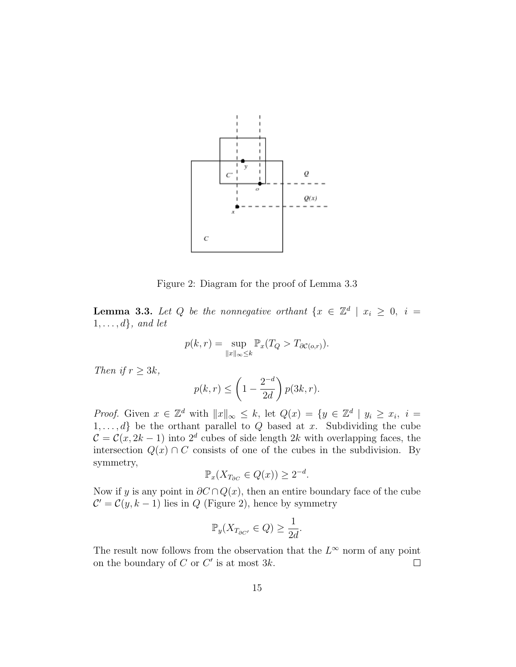

Figure 2: Diagram for the proof of Lemma 3.3

**Lemma 3.3.** Let Q be the nonnegative orthant  $\{x \in \mathbb{Z}^d \mid x_i \geq 0, i =$  $1, \ldots, d\}$ , and let

$$
p(k,r) = \sup_{\|x\|_{\infty} \le k} \mathbb{P}_x(T_Q > T_{\partial \mathcal{C}(o,r)}).
$$

Then if  $r \geq 3k$ ,

$$
p(k,r) \le \left(1 - \frac{2^{-d}}{2d}\right) p(3k, r).
$$

*Proof.* Given  $x \in \mathbb{Z}^d$  with  $||x||_{\infty} \leq k$ , let  $Q(x) = \{y \in \mathbb{Z}^d \mid y_i \geq x_i, i =$  $1, \ldots, d$  be the orthant parallel to Q based at x. Subdividing the cube  $\mathcal{C} = \mathcal{C}(x, 2k-1)$  into  $2^d$  cubes of side length 2k with overlapping faces, the intersection  $Q(x) \cap C$  consists of one of the cubes in the subdivision. By symmetry,

$$
\mathbb{P}_x(X_{T_{\partial C}} \in Q(x)) \ge 2^{-d}.
$$

Now if y is any point in  $\partial C \cap Q(x)$ , then an entire boundary face of the cube  $\mathcal{C}' = \mathcal{C}(y, k-1)$  lies in Q (Figure 2), hence by symmetry

$$
\mathbb{P}_y(X_{T_{\partial C'}} \in Q) \ge \frac{1}{2d}.
$$

The result now follows from the observation that the  $L^{\infty}$  norm of any point on the boundary of  $C$  or  $C'$  is at most  $3k$ .  $\Box$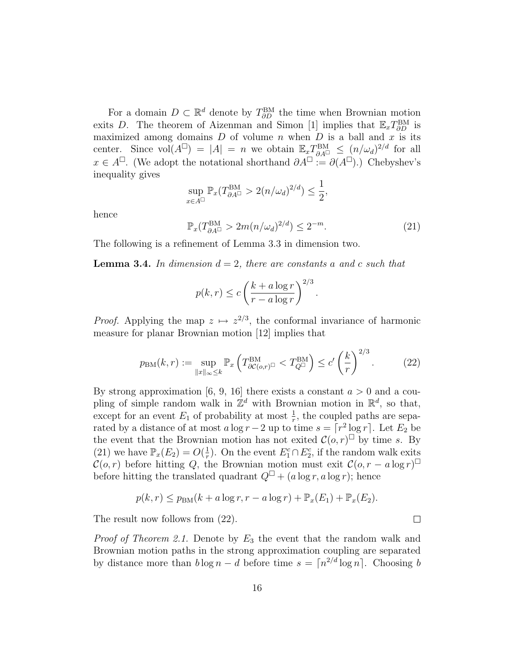For a domain  $D \subset \mathbb{R}^d$  denote by  $T_{\partial D}^{\text{BM}}$  the time when Brownian motion exits D. The theorem of Aizenman and Simon [1] implies that  $\mathbb{E}_x T_{\partial D}^{\text{BM}}$  is maximized among domains  $D$  of volume  $n$  when  $D$  is a ball and  $x$  is its center. Since  $vol(A^{\Box}) = |A| = n$  we obtain  $\mathbb{E}_x T_{\partial A^{\Box}}^{\text{BM}} \leq (n/\omega_d)^{2/d}$  for all  $x \in A^{\square}$ . (We adopt the notational shorthand  $\partial A^{\square} := \partial(A^{\square})$ .) Chebyshev's inequality gives

$$
\sup_{x \in A^{\square}} \mathbb{P}_x(T_{\partial A^{\square}}^{\text{BM}} > 2(n/\omega_d)^{2/d}) \le \frac{1}{2},
$$

hence

$$
\mathbb{P}_x(T_{\partial A^{\Box}}^{\text{BM}} > 2m(n/\omega_d)^{2/d}) \le 2^{-m}.
$$
 (21)

.

 $\Box$ 

The following is a refinement of Lemma 3.3 in dimension two.

**Lemma 3.4.** In dimension  $d = 2$ , there are constants a and c such that

$$
p(k,r) \le c \left(\frac{k+a\log r}{r-a\log r}\right)^{2/3}
$$

*Proof.* Applying the map  $z \mapsto z^{2/3}$ , the conformal invariance of harmonic measure for planar Brownian motion [12] implies that

$$
p_{\text{BM}}(k,r) := \sup_{\|x\|_{\infty} \le k} \mathbb{P}_x \left( T_{\partial \mathcal{C}(o,r)^{\square}}^{\text{BM}} < T_{Q^{\square}}^{\text{BM}} \right) \le c' \left( \frac{k}{r} \right)^{2/3} . \tag{22}
$$

By strong approximation [6, 9, 16] there exists a constant  $a > 0$  and a coupling of simple random walk in  $\mathbb{Z}^d$  with Brownian motion in  $\mathbb{R}^d$ , so that, except for an event  $E_1$  of probability at most  $\frac{1}{r}$ , the coupled paths are separated by a distance of at most  $a \log r - 2$  up to time  $s = \lceil r^2 \log r \rceil$ . Let  $E_2$  be the event that the Brownian motion has not exited  $\mathcal{C}(o, r)$ <sup> $\Box$ </sup> by time s. By (21) we have  $\mathbb{P}_x(E_2) = O(\frac{1}{r})$  $\frac{1}{r}$ ). On the event  $E_1^c \cap E_2^c$ , if the random walk exits  $\mathcal{C}(o,r)$  before hitting Q, the Brownian motion must exit  $\mathcal{C}(o,r-a\log r)^\square$ before hitting the translated quadrant  $Q^{\Box} + (a \log r, a \log r)$ ; hence

$$
p(k,r) \leq p_{BM}(k+a\log r, r-a\log r) + \mathbb{P}_x(E_1) + \mathbb{P}_x(E_2).
$$

The result now follows from (22).

*Proof of Theorem 2.1.* Denote by  $E_3$  the event that the random walk and Brownian motion paths in the strong approximation coupling are separated by distance more than  $b \log n - d$  before time  $s = \lceil n^{2/d} \log n \rceil$ . Choosing b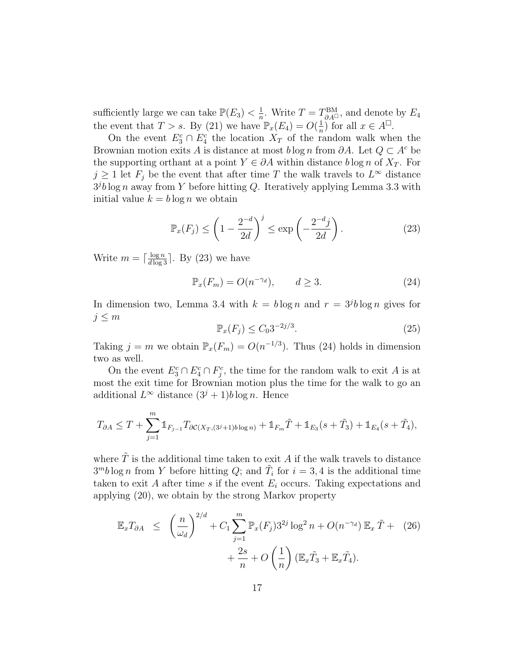sufficiently large we can take  $\mathbb{P}(E_3) < \frac{1}{n}$  $\frac{1}{n}$ . Write  $T = T_{\partial A}^{\text{BM}}$ , and denote by  $E_4$ the event that  $T > s$ . By (21) we have  $\mathbb{P}_x(E_4) = O(\frac{1}{n})$  $\frac{1}{n}$  for all  $x \in A^{\square}$ .

On the event  $E_3^c \cap E_4^c$  the location  $X_T$  of the random walk when the Brownian motion exits A is distance at most  $b \log n$  from  $\partial A$ . Let  $Q \subset A^c$  be the supporting orthant at a point  $Y \in \partial A$  within distance  $b \log n$  of  $X_T$ . For  $j \geq 1$  let  $F_j$  be the event that after time T the walk travels to  $L^{\infty}$  distance  $3^{j}b\log n$  away from Y before hitting Q. Iteratively applying Lemma 3.3 with initial value  $k = b \log n$  we obtain

$$
\mathbb{P}_x(F_j) \le \left(1 - \frac{2^{-d}}{2d}\right)^j \le \exp\left(-\frac{2^{-d}j}{2d}\right). \tag{23}
$$

Write  $m = \lceil \frac{\log n}{d \log 3} \rceil$ . By (23) we have

$$
\mathbb{P}_x(F_m) = O(n^{-\gamma_d}), \qquad d \ge 3. \tag{24}
$$

In dimension two, Lemma 3.4 with  $k = b \log n$  and  $r = 3<sup>j</sup>b \log n$  gives for  $j \leq m$ 

$$
\mathbb{P}_x(F_j) \le C_0 3^{-2j/3}.\tag{25}
$$

Taking  $j = m$  we obtain  $\mathbb{P}_x(F_m) = O(n^{-1/3})$ . Thus (24) holds in dimension two as well.

On the event  $E_3^c \cap E_4^c \cap F_j^c$ , the time for the random walk to exit A is at most the exit time for Brownian motion plus the time for the walk to go an additional  $L^{\infty}$  distance  $(3^{j} + 1)b \log n$ . Hence

$$
T_{\partial A} \leq T + \sum_{j=1}^{m} \mathbb{1}_{F_{j-1}} T_{\partial C(X_T, (3^j+1)b \log n)} + \mathbb{1}_{F_m} \tilde{T} + \mathbb{1}_{E_3}(s + \tilde{T}_3) + \mathbb{1}_{E_4}(s + \tilde{T}_4),
$$

where  $\tilde{T}$  is the additional time taken to exit A if the walk travels to distance  $3^m b \log n$  from Y before hitting Q; and  $\tilde{T}_i$  for  $i = 3, 4$  is the additional time taken to exit A after time s if the event  $E_i$  occurs. Taking expectations and applying (20), we obtain by the strong Markov property

$$
\mathbb{E}_x T_{\partial A} \leq \left(\frac{n}{\omega_d}\right)^{2/d} + C_1 \sum_{j=1}^m \mathbb{P}_x(F_j) 3^{2j} \log^2 n + O(n^{-\gamma_d}) \mathbb{E}_x \tilde{T} + (26) + \frac{2s}{n} + O\left(\frac{1}{n}\right) (\mathbb{E}_x \tilde{T}_3 + \mathbb{E}_x \tilde{T}_4).
$$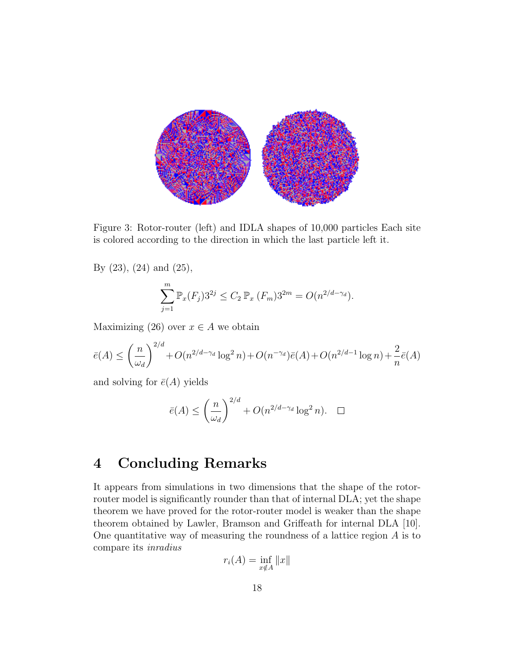

Figure 3: Rotor-router (left) and IDLA shapes of 10,000 particles Each site is colored according to the direction in which the last particle left it.

By (23), (24) and (25),

$$
\sum_{j=1}^{m} \mathbb{P}_x(F_j) 3^{2j} \le C_2 \mathbb{P}_x(F_m) 3^{2m} = O(n^{2/d - \gamma_d}).
$$

Maximizing (26) over  $x \in A$  we obtain

$$
\bar{e}(A) \le \left(\frac{n}{\omega_d}\right)^{2/d} + O(n^{2/d - \gamma_d} \log^2 n) + O(n^{-\gamma_d})\bar{e}(A) + O(n^{2/d - 1} \log n) + \frac{2}{n}\bar{e}(A)
$$

and solving for  $\bar{e}(A)$  yields

$$
\bar{e}(A) \le \left(\frac{n}{\omega_d}\right)^{2/d} + O(n^{2/d - \gamma_d} \log^2 n). \quad \Box
$$

## 4 Concluding Remarks

It appears from simulations in two dimensions that the shape of the rotorrouter model is significantly rounder than that of internal DLA; yet the shape theorem we have proved for the rotor-router model is weaker than the shape theorem obtained by Lawler, Bramson and Griffeath for internal DLA [10]. One quantitative way of measuring the roundness of a lattice region A is to compare its inradius

$$
r_i(A) = \inf_{x \notin A} ||x||
$$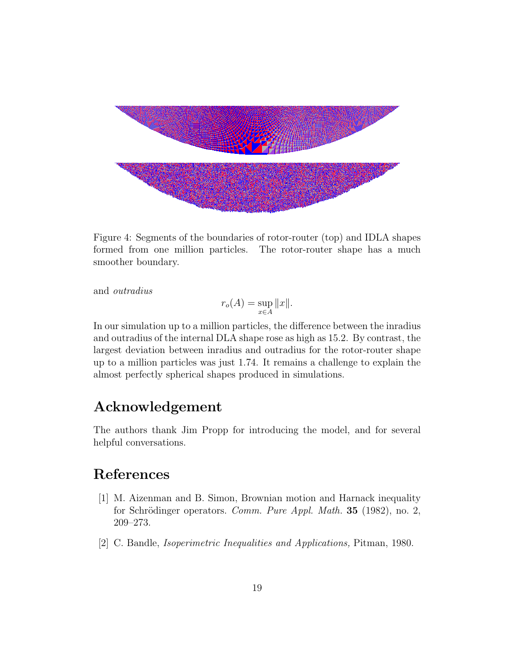

Figure 4: Segments of the boundaries of rotor-router (top) and IDLA shapes formed from one million particles. The rotor-router shape has a much smoother boundary.

and outradius

$$
r_o(A) = \sup_{x \in A} ||x||.
$$

In our simulation up to a million particles, the difference between the inradius and outradius of the internal DLA shape rose as high as 15.2. By contrast, the largest deviation between inradius and outradius for the rotor-router shape up to a million particles was just 1.74. It remains a challenge to explain the almost perfectly spherical shapes produced in simulations.

#### Acknowledgement

The authors thank Jim Propp for introducing the model, and for several helpful conversations.

### References

- [1] M. Aizenman and B. Simon, Brownian motion and Harnack inequality for Schrödinger operators. Comm. Pure Appl. Math. 35 (1982), no. 2, 209–273.
- [2] C. Bandle, Isoperimetric Inequalities and Applications, Pitman, 1980.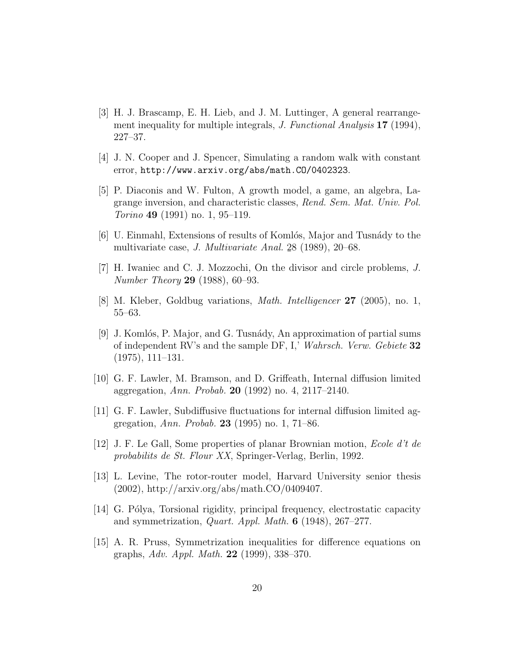- [3] H. J. Brascamp, E. H. Lieb, and J. M. Luttinger, A general rearrangement inequality for multiple integrals, *J. Functional Analysis* 17 (1994), 227–37.
- [4] J. N. Cooper and J. Spencer, Simulating a random walk with constant error, http://www.arxiv.org/abs/math.CO/0402323.
- [5] P. Diaconis and W. Fulton, A growth model, a game, an algebra, Lagrange inversion, and characteristic classes, Rend. Sem. Mat. Univ. Pol.  $Torino$  49 (1991) no. 1, 95–119.
- [6] U. Einmahl, Extensions of results of Komlós, Major and Tusnády to the multivariate case, J. Multivariate Anal. 2 ¯ 8 (1989), 20–68.
- [7] H. Iwaniec and C. J. Mozzochi, On the divisor and circle problems, J. Number Theory 29 (1988), 60–93.
- [8] M. Kleber, Goldbug variations, Math. Intelligencer 27 (2005), no. 1, 55–63.
- [9] J. Komlós, P. Major, and G. Tusnády, An approximation of partial sums of independent RV's and the sample DF, I,' Wahrsch. Verw. Gebiete 32 (1975), 111–131.
- [10] G. F. Lawler, M. Bramson, and D. Griffeath, Internal diffusion limited aggregation, Ann. Probab. 20 (1992) no. 4, 2117–2140.
- [11] G. F. Lawler, Subdiffusive fluctuations for internal diffusion limited aggregation, Ann. Probab. 23 (1995) no. 1, 71–86.
- [12] J. F. Le Gall, Some properties of planar Brownian motion, Ecole d't de probabilits de St. Flour XX, Springer-Verlag, Berlin, 1992.
- [13] L. Levine, The rotor-router model, Harvard University senior thesis (2002), http://arxiv.org/abs/math.CO/0409407.
- [14] G. Pólya, Torsional rigidity, principal frequency, electrostatic capacity and symmetrization, Quart. Appl. Math. 6 (1948), 267–277.
- [15] A. R. Pruss, Symmetrization inequalities for difference equations on graphs, Adv. Appl. Math. 22 (1999), 338–370.